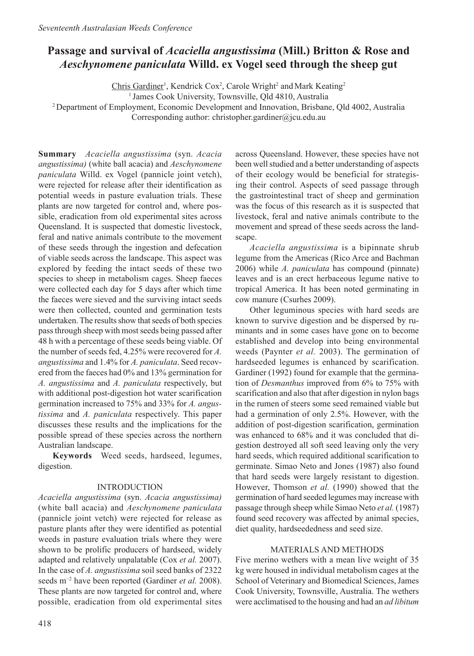# **Passage and survival of** *Acaciella angustissima* **(Mill.) Britton & Rose and**  *Aeschynomene paniculata* **Willd. ex Vogel seed through the sheep gut**

Chris Gardiner<sup>1</sup>, Kendrick Cox<sup>2</sup>, Carole Wright<sup>2</sup> and Mark Keating<sup>2</sup>

<sup>1</sup> James Cook University, Townsville, Qld 4810, Australia

<sup>2</sup> Department of Employment, Economic Development and Innovation, Brisbane, Qld 4002, Australia Corresponding author: christopher.gardiner@jcu.edu.au

**Summary** *Acaciella angustissima* (syn. *Acacia angustissima)* (white ball acacia) and *Aeschynomene paniculata* Willd. ex Vogel (pannicle joint vetch), were rejected for release after their identification as potential weeds in pasture evaluation trials. These plants are now targeted for control and, where possible, eradication from old experimental sites across Queensland. It is suspected that domestic livestock, feral and native animals contribute to the movement of these seeds through the ingestion and defecation of viable seeds across the landscape. This aspect was explored by feeding the intact seeds of these two species to sheep in metabolism cages. Sheep faeces were collected each day for 5 days after which time the faeces were sieved and the surviving intact seeds were then collected, counted and germination tests undertaken. The results show that seeds of both species pass through sheep with most seeds being passed after 48 h with a percentage of these seeds being viable. Of the number of seeds fed, 4.25% were recovered for *A. angustissima* and 1.4% for *A. paniculata*. Seed recovered from the faeces had 0% and 13% germination for *A. angustissima* and *A. paniculata* respectively, but with additional post-digestion hot water scarification germination increased to 75% and 33% for *A. angustissima* and *A. paniculata* respectively. This paper discusses these results and the implications for the possible spread of these species across the northern Australian landscape.

**Keywords** Weed seeds, hardseed, legumes, digestion.

### INTRODUCTION

*Acaciella angustissima* (syn. *Acacia angustissima)*  (white ball acacia) and *Aeschynomene paniculata*  (pannicle joint vetch) were rejected for release as pasture plants after they were identified as potential weeds in pasture evaluation trials where they were shown to be prolific producers of hardseed, widely adapted and relatively unpalatable (Cox *et al.* 2007). In the case of *A. angustissima* soil seed banks of 2322 seeds m<sup>-2</sup> have been reported (Gardiner *et al.* 2008). These plants are now targeted for control and, where possible, eradication from old experimental sites

across Queensland. However, these species have not been well studied and a better understanding of aspects of their ecology would be beneficial for strategising their control. Aspects of seed passage through the gastrointestinal tract of sheep and germination was the focus of this research as it is suspected that livestock, feral and native animals contribute to the movement and spread of these seeds across the landscape.

*Acaciella angustissima* is a bipinnate shrub legume from the Americas (Rico Arce and Bachman 2006) while *A. paniculata* has compound (pinnate) leaves and is an erect herbaceous legume native to tropical America. It has been noted germinating in cow manure (Csurhes 2009).

Other leguminous species with hard seeds are known to survive digestion and be dispersed by ruminants and in some cases have gone on to become established and develop into being environmental weeds (Paynter *et al.* 2003). The germination of hardseeded legumes is enhanced by scarification. Gardiner (1992) found for example that the germination of *Desmanthus* improved from 6% to 75% with scarification and also that after digestion in nylon bags in the rumen of steers some seed remained viable but had a germination of only 2.5%. However, with the addition of post-digestion scarification, germination was enhanced to 68% and it was concluded that digestion destroyed all soft seed leaving only the very hard seeds, which required additional scarification to germinate. Simao Neto and Jones (1987) also found that hard seeds were largely resistant to digestion. However, Thomson *et al.* (1990) showed that the germination of hard seeded legumes may increase with passage through sheep while Simao Neto *et al.* (1987) found seed recovery was affected by animal species, diet quality, hardseededness and seed size.

### MATERIALS AND METHODS

Five merino wethers with a mean live weight of 35 kg were housed in individual metabolism cages at the School of Veterinary and Biomedical Sciences, James Cook University, Townsville, Australia. The wethers were acclimatised to the housing and had an *ad libitum*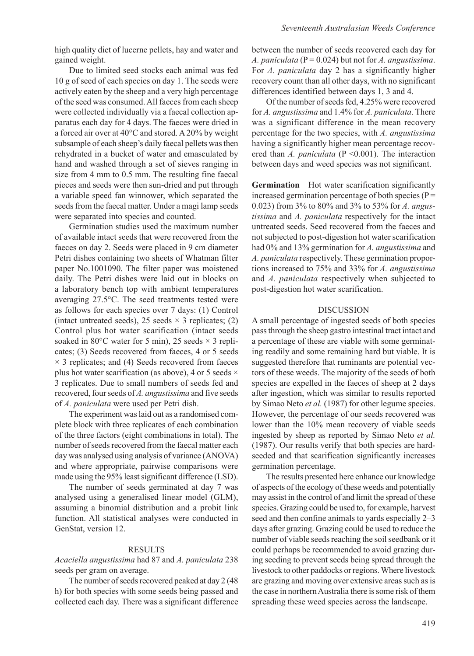high quality diet of lucerne pellets, hay and water and gained weight.

Due to limited seed stocks each animal was fed 10 g of seed of each species on day 1. The seeds were actively eaten by the sheep and a very high percentage of the seed was consumed. All faeces from each sheep were collected individually via a faecal collection apparatus each day for 4 days. The faeces were dried in a forced air over at 40°C and stored. A 20% by weight subsample of each sheep's daily faecal pellets was then rehydrated in a bucket of water and emasculated by hand and washed through a set of sieves ranging in size from 4 mm to 0.5 mm. The resulting fine faecal pieces and seeds were then sun-dried and put through a variable speed fan winnower, which separated the seeds from the faecal matter. Under a magi lamp seeds were separated into species and counted.

Germination studies used the maximum number of available intact seeds that were recovered from the faeces on day 2. Seeds were placed in 9 cm diameter Petri dishes containing two sheets of Whatman filter paper No.1001090. The filter paper was moistened daily. The Petri dishes were laid out in blocks on a laboratory bench top with ambient temperatures averaging 27.5°C. The seed treatments tested were as follows for each species over 7 days: (1) Control (intact untreated seeds), 25 seeds  $\times$  3 replicates; (2) Control plus hot water scarification (intact seeds soaked in 80 $\degree$ C water for 5 min), 25 seeds  $\times$  3 replicates; (3) Seeds recovered from faeces, 4 or 5 seeds  $\times$  3 replicates; and (4) Seeds recovered from faeces plus hot water scarification (as above), 4 or 5 seeds  $\times$ 3 replicates. Due to small numbers of seeds fed and recovered, four seeds of *A. angustissima* and five seeds of *A. paniculata* were used per Petri dish.

The experiment was laid out as a randomised complete block with three replicates of each combination of the three factors (eight combinations in total). The number of seeds recovered from the faecal matter each day was analysed using analysis of variance (ANOVA) and where appropriate, pairwise comparisons were made using the 95% least significant difference (LSD).

The number of seeds germinated at day 7 was analysed using a generalised linear model (GLM), assuming a binomial distribution and a probit link function. All statistical analyses were conducted in GenStat, version 12.

### **RESULTS**

*Acaciella angustissima* had 87 and *A. paniculata* 238 seeds per gram on average.

The number of seeds recovered peaked at day 2 (48 h) for both species with some seeds being passed and collected each day. There was a significant difference between the number of seeds recovered each day for *A. paniculata* ( $P = 0.024$ ) but not for *A. angustissima.* For *A. paniculata* day 2 has a significantly higher recovery count than all other days, with no significant differences identified between days 1, 3 and 4.

Of the number of seeds fed, 4.25% were recovered for *A. angustissima* and 1.4% for *A. paniculata*. There was a significant difference in the mean recovery percentage for the two species, with *A. angustissima* having a significantly higher mean percentage recovered than *A. paniculata* (P < 0.001). The interaction between days and weed species was not significant.

**Germination** Hot water scarification significantly increased germination percentage of both species ( $P =$ 0.023) from 3% to 80% and 3% to 53% for *A. angustissima* and *A. paniculata* respectively for the intact untreated seeds. Seed recovered from the faeces and not subjected to post-digestion hot water scarification had 0% and 13% germination for *A. angustissima* and *A. paniculata* respectively. These germination proportions increased to 75% and 33% for *A. angustissima* and *A. paniculata* respectively when subjected to post-digestion hot water scarification.

#### DISCUSSION

A small percentage of ingested seeds of both species pass through the sheep gastro intestinal tract intact and a percentage of these are viable with some germinating readily and some remaining hard but viable. It is suggested therefore that ruminants are potential vectors of these weeds. The majority of the seeds of both species are expelled in the faeces of sheep at 2 days after ingestion, which was similar to results reported by Simao Neto *et al.* (1987) for other legume species. However, the percentage of our seeds recovered was lower than the 10% mean recovery of viable seeds ingested by sheep as reported by Simao Neto *et al.* (1987). Our results verify that both species are hardseeded and that scarification significantly increases germination percentage.

The results presented here enhance our knowledge of aspects of the ecology of these weeds and potentially may assist in the control of and limit the spread of these species. Grazing could be used to, for example, harvest seed and then confine animals to yards especially 2–3 days after grazing. Grazing could be used to reduce the number of viable seeds reaching the soil seedbank or it could perhaps be recommended to avoid grazing during seeding to prevent seeds being spread through the livestock to other paddocks or regions. Where livestock are grazing and moving over extensive areas such as is the case in northern Australia there is some risk of them spreading these weed species across the landscape.